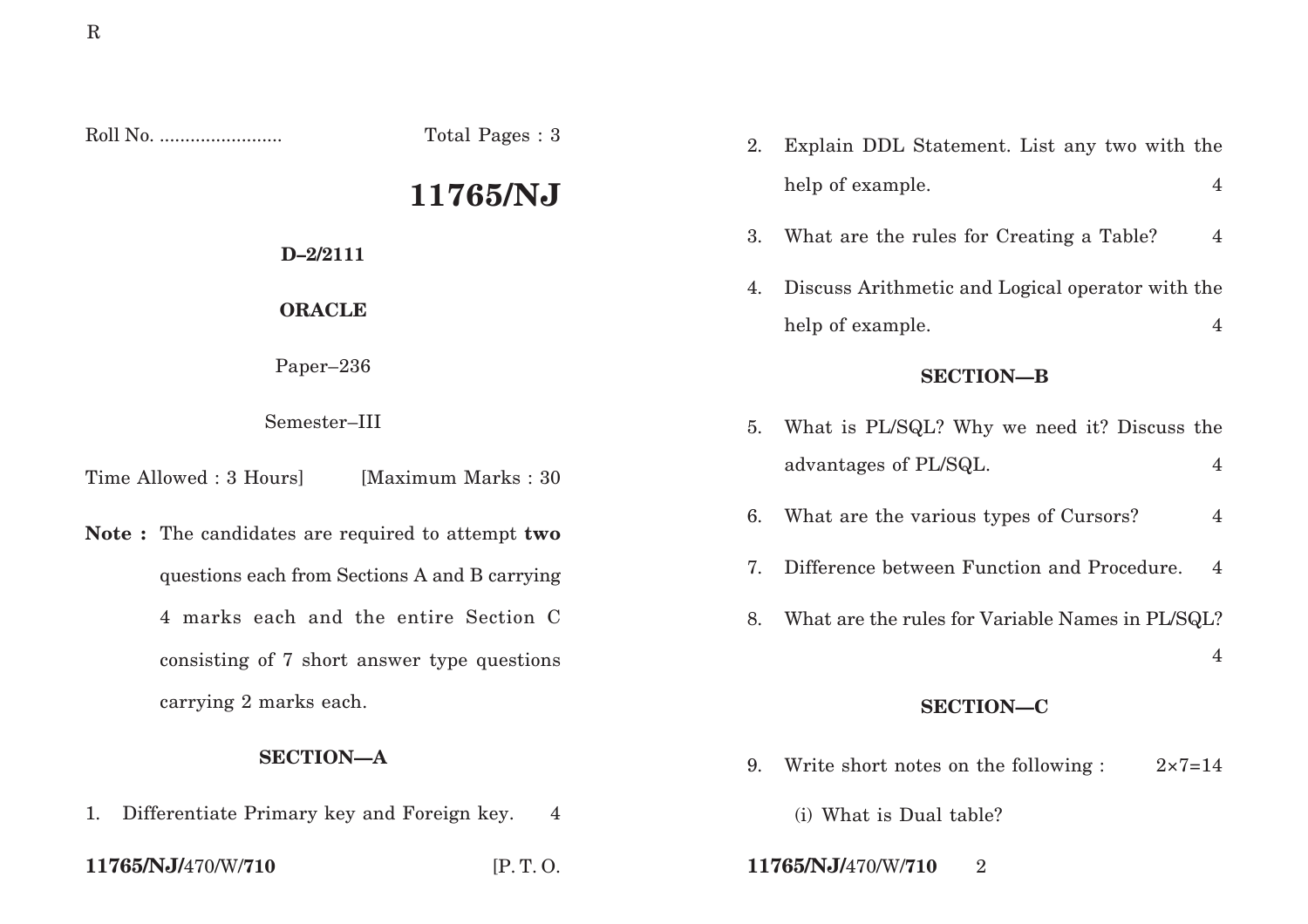|                                                  | Total Pages: 3 | 2. | Explain DDL Statement. List any two with the              |                |  |
|--------------------------------------------------|----------------|----|-----------------------------------------------------------|----------------|--|
| 11765/NJ                                         |                |    | help of example.                                          | $\overline{4}$ |  |
| $D - 2/2111$                                     |                | 3. | What are the rules for Creating a Table?                  | $\overline{4}$ |  |
| <b>ORACLE</b>                                    |                |    | Discuss Arithmetic and Logical operator with the          |                |  |
|                                                  |                |    | help of example.                                          | 4              |  |
| Paper-236                                        |                |    | <b>SECTION-B</b>                                          |                |  |
| Semester-III                                     |                | 5. | What is PL/SQL? Why we need it? Discuss the               |                |  |
| Time Allowed : 3 Hours]<br>[Maximum Marks: 30]   |                |    | advantages of PL/SQL.                                     | $\overline{4}$ |  |
| Note: The candidates are required to attempt two |                | 6. | What are the various types of Cursors?                    | $\overline{4}$ |  |
| questions each from Sections A and B carrying    |                | 7. | Difference between Function and Procedure.                | 4              |  |
| 4 marks each and the entire Section C            |                | 8. | What are the rules for Variable Names in PL/SQL?          |                |  |
| consisting of 7 short answer type questions      |                |    |                                                           | 4              |  |
| carrying 2 marks each.                           |                |    | <b>SECTION-C</b>                                          |                |  |
| <b>SECTION-A</b>                                 |                | 9. | Write short notes on the following :<br>$2 \times 7 = 14$ |                |  |

1. Differentiate Primary key and Foreign key. 4

**11765/NJ/**470/W/**710** [P. T. O. **11765/NJ/**470/W/**710** 2

(i) What is Dual table?